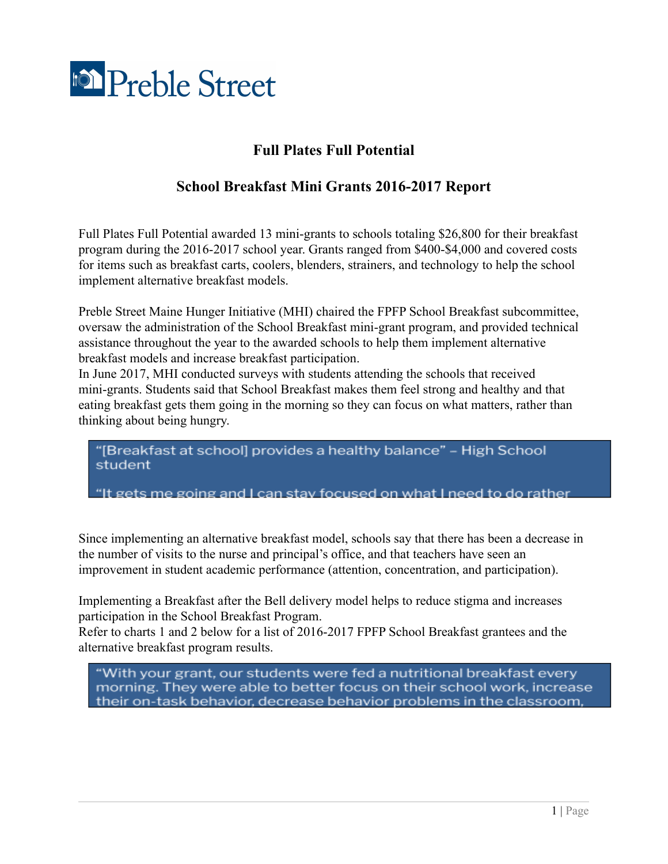

## **Full Plates Full Potential**

## **School Breakfast Mini Grants 2016-2017 Report**

Full Plates Full Potential awarded 13 mini-grants to schools totaling \$26,800 for their breakfast program during the 2016-2017 school year. Grants ranged from \$400-\$4,000 and covered costs for items such as breakfast carts, coolers, blenders, strainers, and technology to help the school implement alternative breakfast models.

Preble Street Maine Hunger Initiative (MHI) chaired the FPFP School Breakfast subcommittee, oversaw the administration of the School Breakfast mini-grant program, and provided technical assistance throughout the year to the awarded schools to help them implement alternative breakfast models and increase breakfast participation.

In June 2017, MHI conducted surveys with students attending the schools that received mini-grants. Students said that School Breakfast makes them feel strong and healthy and that eating breakfast gets them going in the morning so they can focus on what matters, rather than thinking about being hungry.

"[Breakfast at school] provides a healthy balance" - High School student

"It gets me going and I can stay focused on what I need to do rather

Since implementing an alternative breakfast model, schools say that there has been a decrease in the number of visits to the nurse and principal's office, and that teachers have seen an improvement in student academic performance (attention, concentration, and participation).

Implementing a Breakfast after the Bell delivery model helps to reduce stigma and increases participation in the School Breakfast Program.

Refer to charts 1 and 2 below for a list of 2016-2017 FPFP School Breakfast grantees and the alternative breakfast program results.

"With your grant, our students were fed a nutritional breakfast every morning. They were able to better focus on their school work, increase their on-task behavior, decrease behavior problems in the classroom.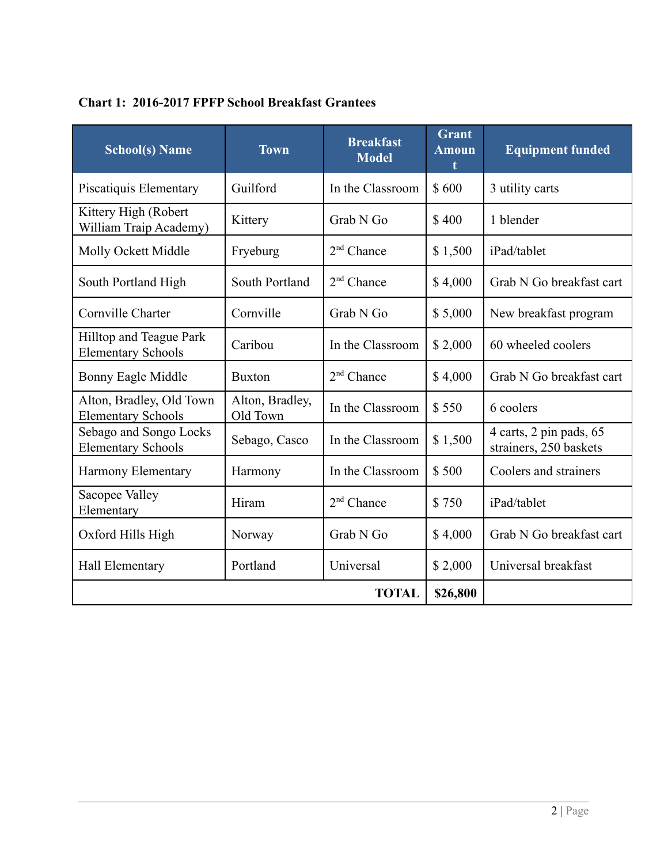| <b>School(s) Name</b>                                       | <b>Town</b>                 | <b>Breakfast</b><br><b>Model</b> | <b>Grant</b><br><b>Amoun</b> | <b>Equipment funded</b>                           |  |
|-------------------------------------------------------------|-----------------------------|----------------------------------|------------------------------|---------------------------------------------------|--|
| Piscatiquis Elementary                                      | Guilford                    | In the Classroom                 | \$600                        | 3 utility carts                                   |  |
| Kittery High (Robert<br>William Traip Academy)              | Kittery                     | Grab N Go                        | \$400                        | 1 blender                                         |  |
| Molly Ockett Middle                                         | Fryeburg                    | $2nd$ Chance                     | \$1,500                      | iPad/tablet                                       |  |
| South Portland High                                         | South Portland              | $2nd$ Chance                     | \$4,000                      | Grab N Go breakfast cart                          |  |
| Cornville Charter                                           | Cornville                   | Grab N Go                        | \$5,000                      | New breakfast program                             |  |
| <b>Hilltop and Teague Park</b><br><b>Elementary Schools</b> | Caribou                     | In the Classroom                 | \$2,000                      | 60 wheeled coolers                                |  |
| Bonny Eagle Middle                                          | <b>Buxton</b>               | $2nd$ Chance                     | \$4,000                      | Grab N Go breakfast cart                          |  |
| Alton, Bradley, Old Town<br><b>Elementary Schools</b>       | Alton, Bradley,<br>Old Town | In the Classroom                 | \$550                        | 6 coolers                                         |  |
| Sebago and Songo Locks<br><b>Elementary Schools</b>         | Sebago, Casco               | In the Classroom                 | \$1,500                      | 4 carts, 2 pin pads, 65<br>strainers, 250 baskets |  |
| Harmony Elementary                                          | Harmony                     | In the Classroom                 | \$500                        | Coolers and strainers                             |  |
| Sacopee Valley<br>Elementary                                | Hiram                       | $2nd$ Chance                     | \$750                        | iPad/tablet                                       |  |
| Oxford Hills High                                           | Norway                      | Grab N Go                        | \$4,000                      | Grab N Go breakfast cart                          |  |
| <b>Hall Elementary</b>                                      | Portland                    | Universal                        | \$2,000                      | Universal breakfast                               |  |
|                                                             |                             | <b>TOTAL</b>                     | \$26,800                     |                                                   |  |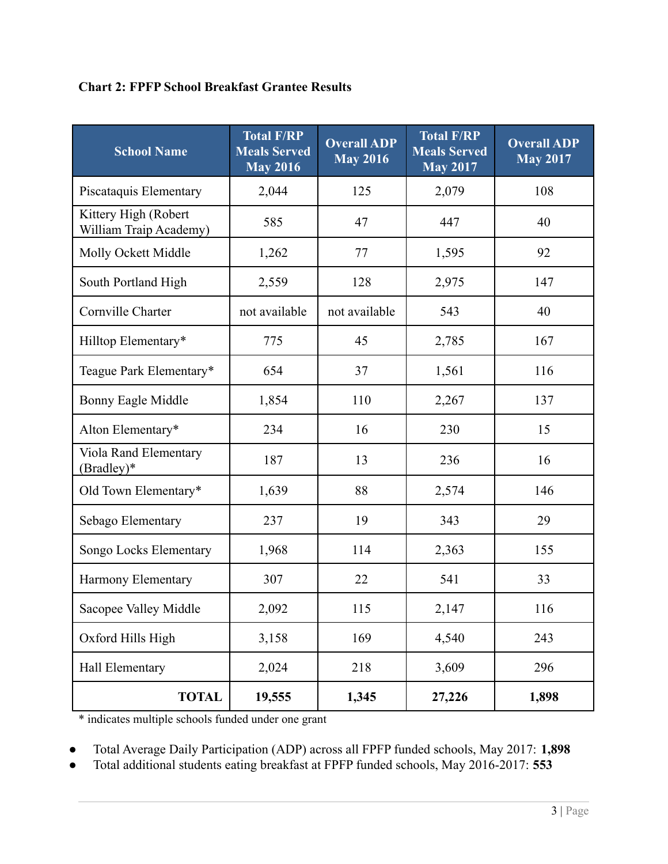#### **Chart 2: FPFP School Breakfast Grantee Results**

| <b>School Name</b>                             | <b>Total F/RP</b><br><b>Meals Served</b><br><b>May 2016</b> | <b>Overall ADP</b><br><b>May 2016</b> | <b>Total F/RP</b><br><b>Meals Served</b><br><b>May 2017</b> | <b>Overall ADP</b><br><b>May 2017</b> |
|------------------------------------------------|-------------------------------------------------------------|---------------------------------------|-------------------------------------------------------------|---------------------------------------|
| Piscataquis Elementary                         | 2,044                                                       | 125                                   | 2,079                                                       | 108                                   |
| Kittery High (Robert<br>William Traip Academy) | 585                                                         | 47                                    | 447                                                         | 40                                    |
| Molly Ockett Middle                            | 1,262                                                       | 77                                    | 1,595                                                       | 92                                    |
| South Portland High                            | 2,559                                                       | 128                                   | 2,975                                                       | 147                                   |
| Cornville Charter                              | not available                                               | not available                         | 543                                                         | 40                                    |
| Hilltop Elementary*                            | 775                                                         | 45                                    | 2,785                                                       | 167                                   |
| Teague Park Elementary*                        | 654                                                         | 37                                    | 1,561                                                       | 116                                   |
| Bonny Eagle Middle                             | 1,854                                                       | 110                                   | 2,267                                                       | 137                                   |
| Alton Elementary*                              | 234                                                         | 16                                    | 230                                                         | 15                                    |
| Viola Rand Elementary<br>(Bradley)*            | 187                                                         | 13                                    | 236                                                         | 16                                    |
| Old Town Elementary*                           | 1,639                                                       | 88                                    | 2,574                                                       | 146                                   |
| Sebago Elementary                              | 237                                                         | 19                                    | 343                                                         | 29                                    |
| Songo Locks Elementary                         | 1,968                                                       | 114                                   | 2,363                                                       | 155                                   |
| Harmony Elementary                             | 307                                                         | 22                                    | 541                                                         | 33                                    |
| Sacopee Valley Middle                          | 2,092                                                       | 115                                   | 2,147                                                       | 116                                   |
| Oxford Hills High                              | 3,158                                                       | 169                                   | 4,540                                                       | 243                                   |
| Hall Elementary                                | 2,024                                                       | 218                                   | 3,609                                                       | 296                                   |
| <b>TOTAL</b>                                   | 19,555                                                      | 1,345                                 | 27,226                                                      | 1,898                                 |

\* indicates multiple schools funded under one grant

● Total Average Daily Participation (ADP) across all FPFP funded schools, May 2017: **1,898**

● Total additional students eating breakfast at FPFP funded schools, May 2016-2017: **553**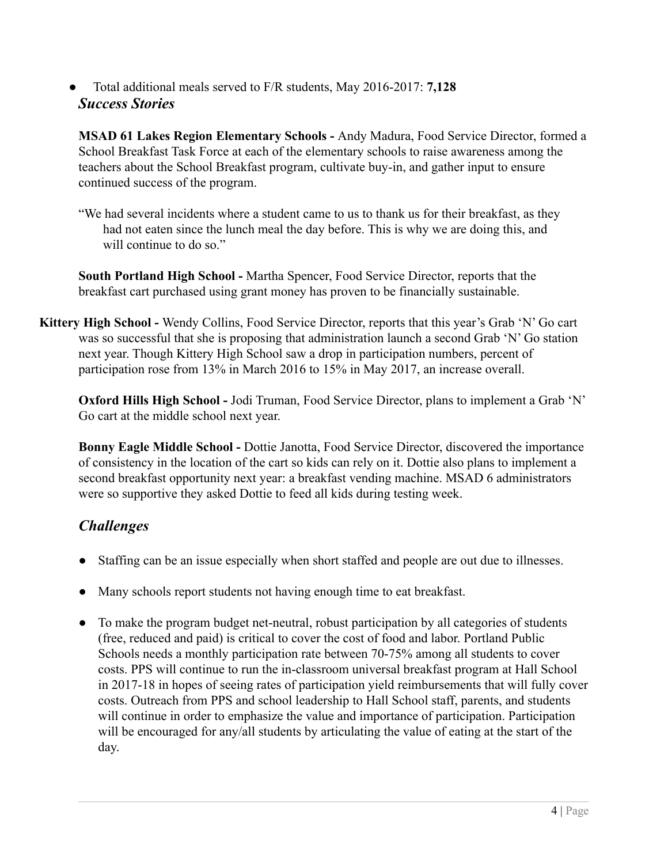● Total additional meals served to F/R students, May 2016-2017: **7,128** *Success Stories*

**MSAD 61 Lakes Region Elementary Schools -** Andy Madura, Food Service Director, formed a School Breakfast Task Force at each of the elementary schools to raise awareness among the teachers about the School Breakfast program, cultivate buy-in, and gather input to ensure continued success of the program.

"We had several incidents where a student came to us to thank us for their breakfast, as they had not eaten since the lunch meal the day before. This is why we are doing this, and will continue to do so."

**South Portland High School -** Martha Spencer, Food Service Director, reports that the breakfast cart purchased using grant money has proven to be financially sustainable.

**Kittery High School -** Wendy Collins, Food Service Director, reports that this year's Grab 'N' Go cart was so successful that she is proposing that administration launch a second Grab 'N' Go station next year. Though Kittery High School saw a drop in participation numbers, percent of participation rose from 13% in March 2016 to 15% in May 2017, an increase overall.

**Oxford Hills High School -** Jodi Truman, Food Service Director, plans to implement a Grab 'N' Go cart at the middle school next year.

**Bonny Eagle Middle School -** Dottie Janotta, Food Service Director, discovered the importance of consistency in the location of the cart so kids can rely on it. Dottie also plans to implement a second breakfast opportunity next year: a breakfast vending machine. MSAD 6 administrators were so supportive they asked Dottie to feed all kids during testing week.

# *Challenges*

- Staffing can be an issue especially when short staffed and people are out due to illnesses.
- Many schools report students not having enough time to eat breakfast.
- To make the program budget net-neutral, robust participation by all categories of students (free, reduced and paid) is critical to cover the cost of food and labor. Portland Public Schools needs a monthly participation rate between 70-75% among all students to cover costs. PPS will continue to run the in-classroom universal breakfast program at Hall School in 2017-18 in hopes of seeing rates of participation yield reimbursements that will fully cover costs. Outreach from PPS and school leadership to Hall School staff, parents, and students will continue in order to emphasize the value and importance of participation. Participation will be encouraged for any/all students by articulating the value of eating at the start of the day.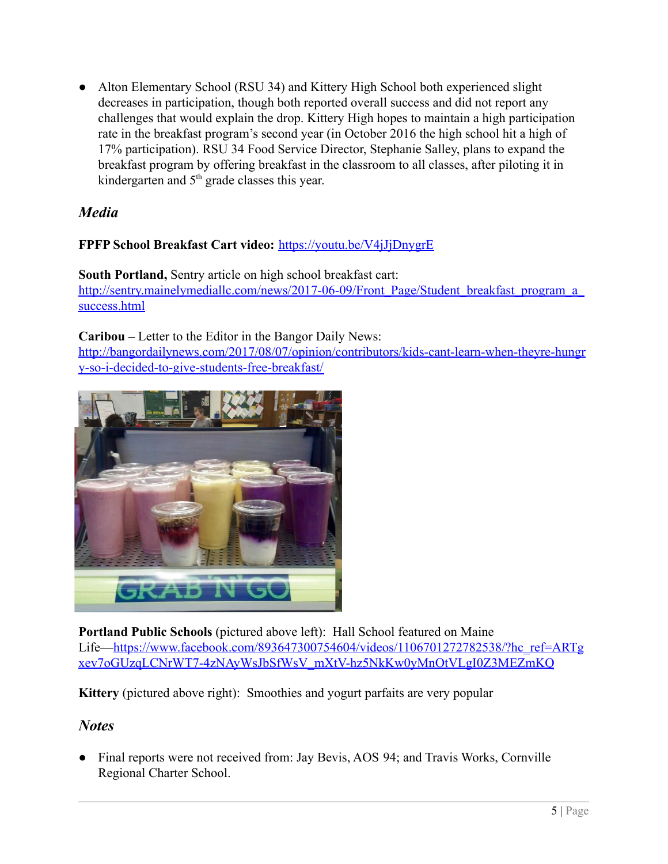• Alton Elementary School (RSU 34) and Kittery High School both experienced slight decreases in participation, though both reported overall success and did not report any challenges that would explain the drop. Kittery High hopes to maintain a high participation rate in the breakfast program's second year (in October 2016 the high school hit a high of 17% participation). RSU 34 Food Service Director, Stephanie Salley, plans to expand the breakfast program by offering breakfast in the classroom to all classes, after piloting it in kindergarten and 5<sup>th</sup> grade classes this year.

# *Media*

#### **FPFP School Breakfast Cart video:** <https://youtu.be/V4jJjDnygrE>

**South Portland,** Sentry article on high school breakfast cart: http://sentry.mainelymediallc.com/news/2017-06-09/Front\_Page/Student\_breakfast\_program\_a [success.html](http://sentry.mainelymediallc.com/news/2017-06-09/Front_Page/Student_breakfast_program_a_success.html)

**Caribou –** Letter to the Editor in the Bangor Daily News: [http://bangordailynews.com/2017/08/07/opinion/contributors/kids-cant-learn-when-theyre-hungr](http://bangordailynews.com/2017/08/07/opinion/contributors/kids-cant-learn-when-theyre-hungry-so-i-decided-to-give-students-free-breakfast/) [y-so-i-decided-to-give-students-free-breakfast/](http://bangordailynews.com/2017/08/07/opinion/contributors/kids-cant-learn-when-theyre-hungry-so-i-decided-to-give-students-free-breakfast/)



**Portland Public Schools** (pictured above left): Hall School featured on Maine Life—[https://www.facebook.com/893647300754604/videos/1106701272782538/?hc\\_ref=ARTg](https://www.facebook.com/893647300754604/videos/1106701272782538/?hc_ref=ARTgxev7oGUzqLCNrWT7-4zNAyWsJbSfWsV_mXtV-hz5NkKw0yMnOtVLgI0Z3MEZmKQ) [xev7oGUzqLCNrWT7-4zNAyWsJbSfWsV\\_mXtV-hz5NkKw0yMnOtVLgI0Z3MEZmKQ](https://www.facebook.com/893647300754604/videos/1106701272782538/?hc_ref=ARTgxev7oGUzqLCNrWT7-4zNAyWsJbSfWsV_mXtV-hz5NkKw0yMnOtVLgI0Z3MEZmKQ)

**Kittery** (pictured above right): Smoothies and yogurt parfaits are very popular

## *Notes*

• Final reports were not received from: Jay Bevis, AOS 94; and Travis Works, Cornville Regional Charter School.